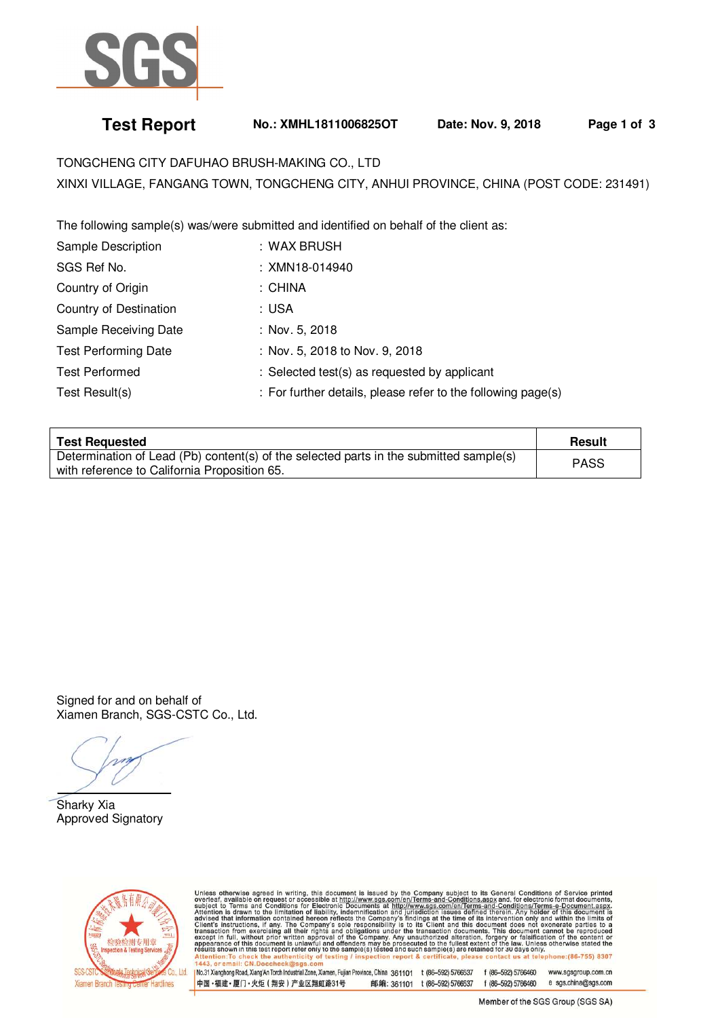

## **Test Report No.: XMHL1811006825OT Date: Nov. 9, 2018 Page 1 of 3**

TONGCHENG CITY DAFUHAO BRUSH-MAKING CO., LTD XINXI VILLAGE, FANGANG TOWN, TONGCHENG CITY, ANHUI PROVINCE, CHINA (POST CODE: 231491)

The following sample(s) was/were submitted and identified on behalf of the client as:

| Sample Description          | : WAX BRUSH                                                  |
|-----------------------------|--------------------------------------------------------------|
| SGS Ref No.                 | : XMN18-014940                                               |
| Country of Origin           | : CHINA                                                      |
| Country of Destination      | : USA                                                        |
| Sample Receiving Date       | : Nov. 5, 2018                                               |
| <b>Test Performing Date</b> | : Nov. 5, 2018 to Nov. 9, 2018                               |
| <b>Test Performed</b>       | : Selected test(s) as requested by applicant                 |
| Test Result(s)              | : For further details, please refer to the following page(s) |

| <b>Test Requested</b>                                                                                                                  | Result      |
|----------------------------------------------------------------------------------------------------------------------------------------|-------------|
| Determination of Lead (Pb) content(s) of the selected parts in the submitted sample(s)<br>with reference to California Proposition 65. | <b>PASS</b> |

Signed for and on behalf of Xiamen Branch, SGS-CSTC Co., Ltd.

 $\overline{a}$ Sharky Xia Approved Signatory



Unless otherwise agreed in writing, this document is issued by the Company subject to its General Conditions of Service printed overleaf, available on request or accessible at http://www.sgs.com/en/Terms-and-Conditions.as

No.31 Xianghong Road, Xiang'An Torch Industrial Zone, Xiamen, Fujian Province, China 361101 t (86-592) 5766537 f (86-592) 5766460 www.sasaroup.com.cn 中国·福建·厦门·火炬 (翔安) 产业区翔虹路31号 邮编: 361101 t (86-592) 5766537 f (86-592) 5766460 e sgs.china@sgs.com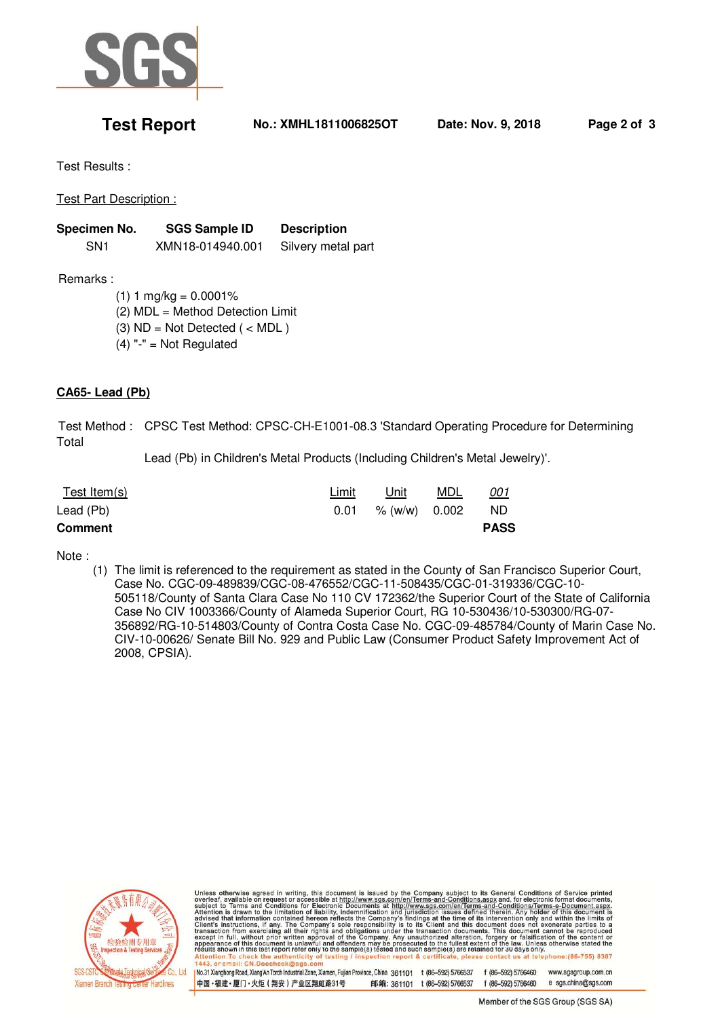

**Test Report No.: XMHL1811006825OT Date: Nov. 9, 2018 Page 2 of 3** 

Test Results :

Test Part Description :

| Specimen No. | <b>SGS Sample ID</b> | <b>Description</b> |  |
|--------------|----------------------|--------------------|--|
| SN1          | XMN18-014940.001     | Silvery metal part |  |

Remarks :

 $(1) 1 mg/kg = 0.0001%$ 

(2) MDL = Method Detection Limit

(3)  $ND = Not detected$  ( < MDL)

 $(4)$  "-" = Not Regulated

## **CA65- Lead (Pb)**

 Test Method : CPSC Test Method: CPSC-CH-E1001-08.3 'Standard Operating Procedure for Determining Total

Lead (Pb) in Children's Metal Products (Including Children's Metal Jewelry)'.

| Test Item(s)   | Limit | Unit          | MDL | <u>001</u>  |
|----------------|-------|---------------|-----|-------------|
| Lead (Pb)      | 0.01  | % (w/w) 0.002 |     | ND.         |
| <b>Comment</b> |       |               |     | <b>PASS</b> |

Note :

(1) The limit is referenced to the requirement as stated in the County of San Francisco Superior Court, Case No. CGC-09-489839/CGC-08-476552/CGC-11-508435/CGC-01-319336/CGC-10- 505118/County of Santa Clara Case No 110 CV 172362/the Superior Court of the State of California Case No CIV 1003366/County of Alameda Superior Court, RG 10-530436/10-530300/RG-07- 356892/RG-10-514803/County of Contra Costa Case No. CGC-09-485784/County of Marin Case No. CIV-10-00626/ Senate Bill No. 929 and Public Law (Consumer Product Safety Improvement Act of 2008, CPSIA).



Unless otherwise agreed in writing, this document is issued by the Company subject to its General Conditions of Service printed overleaf, available on request or accessible at http://www.sgs.com/en/Terms-and-Conditions.as

No.31 Xianghong Road, Xiang'An Torch Industrial Zone, Xiamen, Fujian Province, China 361101 t (86-592) 5766537 f (86-592) 5766460 www.sasaroup.com.cn 中国·福建·厦门·火炬 (翔安) 产业区翔虹路31号 邮编: 361101 t (86-592) 5766537 f (86-592) 5766460 e sgs.china@sgs.com